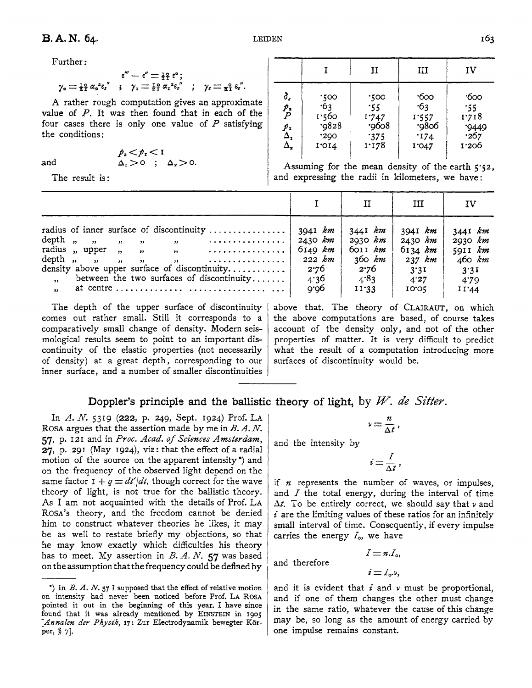Further:

$$
\epsilon''' - \epsilon'' = \frac{1}{2} \epsilon^2 ;
$$
  

$$
\gamma_2 = \frac{1}{2} \epsilon^2 \alpha_2^2 \epsilon_s'' \quad ; \quad \gamma_1 = \frac{1}{2} \epsilon^2 \alpha_1^2 \epsilon_s'' \quad ; \quad \gamma_2 = \frac{1}{2} \epsilon_s''.
$$

A rather rough computation gives an approximate value of  $P$ . It was then found that in each of the four cases there is only one value of  $P$  satisfying the conditions:

and

$$
\begin{array}{ccc}\np_a < p_{\rm r} < 1 \\
\Delta_{\rm r} > 0 & ; & \Delta_{\rm r} > 0.\n\end{array}
$$

The result is:

|                                                                                                           |                                                  | II                                            | Ш                                           | ΙV                                             |
|-----------------------------------------------------------------------------------------------------------|--------------------------------------------------|-----------------------------------------------|---------------------------------------------|------------------------------------------------|
| δ,<br>$\frac{\not{p}_\text{a}}{P}$<br>$\begin{matrix} \mathcal{P}_1 \\ \Delta_1 \\ \Delta_2 \end{matrix}$ | .100<br>$-63$<br>1.560<br>.9828<br>.290<br>1.014 | .500<br>.55<br>1.747<br>.9608<br>375<br>1.178 | 600<br>63<br>1.557<br>.9806<br>174<br>1'047 | ∙боо<br>.55<br>1.718<br>'9449<br>∙267<br>1'206 |

Assuming for the mean density of the earth  $5.52$ , and expressing the radii in kilometers, we have:

|                                                                                                                                                                                                                                                                                                             |                                                                                 |                                                                  | ш                                                                    | IV                                                                      |
|-------------------------------------------------------------------------------------------------------------------------------------------------------------------------------------------------------------------------------------------------------------------------------------------------------------|---------------------------------------------------------------------------------|------------------------------------------------------------------|----------------------------------------------------------------------|-------------------------------------------------------------------------|
| radius of inner surface of discontinuity<br>depth $\binom{n}{y}$ $\binom{n}{y}$ $\binom{n}{y}$ $\binom{n}{y}$ $\ldots$ $\ldots$<br>radius "upper " " " … … … … … …<br>density above upper surface of discontinuity<br>between the two surfaces of discontinuity<br>$\rightarrow$<br>$\overline{\mathbf{r}}$ | * 3941 km  <br>$+ 2430$ km $+$<br>6149 km<br>222 $km$  <br>2.76<br>4.36<br>9.96 | 3441 km<br>2030 km<br>6011 km<br>360 km<br>2.76<br>4.83<br>11.33 | 3941 km<br>$2430$ km<br>$6134$ km<br>237 km<br>3.31<br>4.27<br>10.01 | $3441$ km<br>2930 km<br>$59II \, km$<br>460 km<br>3.31<br>4.79<br>11'44 |

The depth of the upper surface of discontinuity comes out rather small. Still it corresponds to a comparatively small change of density. Modern seismological results seem to point to an important discontinuity of the elastic properties (not necessarily of density) at a great depth, corresponding to our inner surface, and a number of smaller discontinuities above that. The theory of CLAIRAUT, on which the above computations are based, of course takes account of the density only, and not of the other properties of matter. It is very difficult to predict what the result of a computation introducing more surfaces of discontinuity would be.

## Doppler's principle and the ballistic theory of light, by W. de Sitter.

In A. N. 5319 (222, p. 249, Sept. 1924) Prof. LA ROSA argues that the assertion made by me in  $B.A.N.$ 57, p. 121 and in Proc. Acad. of Sciences Amsterdam,  $27$ , p. 291 (May 1924), viz: that the effect of a radial motion of the source on the apparent intensity \*) and on the frequency of the observed light depend on the same factor  $I + q = dt'/dt$ , though correct for the wave theory of light, is not true for the ballistic theory. As I am not acquainted with the details of Prof. LA ROSA's theory, and the freedom cannot be denied him to construct whatever theories he likes, it may be as well to restate briefly my objections, so that he may know exactly which difficulties his theory has to meet. My assertion in  $B. A. N.$  57 was based on the assumption that the frequency could be defined by

$$
v=\frac{n}{\Delta t}\,,
$$

and the intensity by

$$
i=\frac{I}{\Delta t},
$$

if  $n$  represents the number of waves, or impulses, and  $I$  the total energy, during the interval of time  $\Delta t$ . To be entirely correct, we should say that  $\nu$  and  $i$  are the limiting values of these ratios for an infinitely small interval of time. Consequently, if every impulse carries the energy  $I<sub>o</sub>$ , we have

and therefore

$$
i=I_{\rm o}v,
$$

 $I = n.I_{\alpha}$ 

and it is evident that  $i$  and  $\nu$  must be proportional, and if one of them changes the other must change in the same ratio, whatever the cause of this change may be, so long as the amount of energy carried by one impulse remains constant.

<sup>\*)</sup> In  $B. A. N.$  57 I supposed that the effect of relative motion on intensity had never been noticed before Prof. LA ROSA pointed it out in the beginning of this year. I have since found that it was already mentioned by EINSTEIN in 1905 [Annalen der Physik, 17: Zur Electrodynamik bewegter Körper,  $\S$  7].